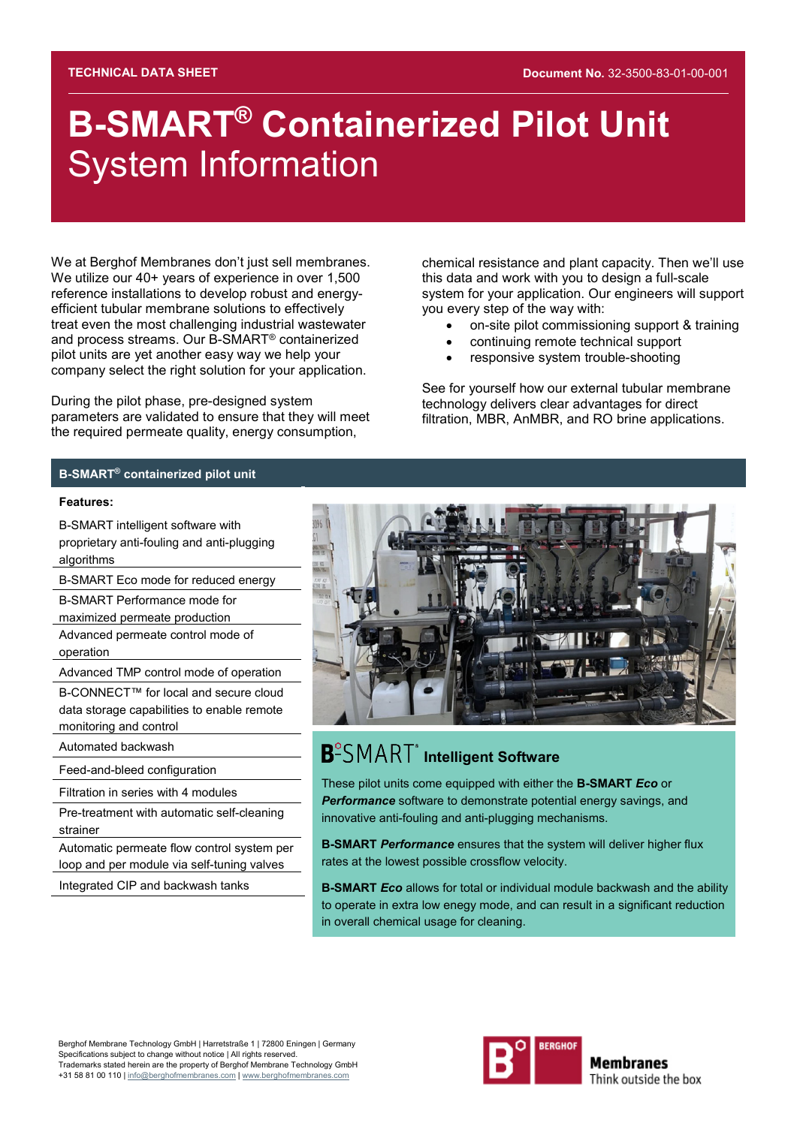# **B-SMART® Containerized Pilot Unit** System Information

We at Berghof Membranes don't just sell membranes. We utilize our 40+ years of experience in over 1,500 reference installations to develop robust and energyefficient tubular membrane solutions to effectively treat even the most challenging industrial wastewater and process streams. Our B-SMART® containerized pilot units are yet another easy way we help your company select the right solution for your application.

During the pilot phase, pre-designed system parameters are validated to ensure that they will meet the required permeate quality, energy consumption,

chemical resistance and plant capacity. Then we'll use this data and work with you to design a full-scale system for your application. Our engineers will support you every step of the way with:

- on-site pilot commissioning support & training
- continuing remote technical support
- responsive system trouble-shooting

See for yourself how our external tubular membrane technology delivers clear advantages for direct filtration, MBR, AnMBR, and RO brine applications.

### **B-SMART® containerized pilot unit**

#### **Features:**

B-SMART intelligent software with proprietary anti-fouling and anti-plugging algorithms

B-SMART Eco mode for reduced energy

B-SMART Performance mode for

maximized permeate production

Advanced permeate control mode of operation

Advanced TMP control mode of operation

B-CONNECT™ for local and secure cloud data storage capabilities to enable remote monitoring and control

Automated backwash

Feed-and-bleed configuration

Filtration in series with 4 modules

Pre-treatment with automatic self-cleaning strainer

Automatic permeate flow control system per loop and per module via self-tuning valves

Integrated CIP and backwash tanks



# **B**<sup>°</sup>SMART<sup>®</sup> Intelligent Software

These pilot units come equipped with either the **B-SMART** *Eco* or *Performance* software to demonstrate potential energy savings, and innovative anti-fouling and anti-plugging mechanisms.

**B-SMART** *Performance* ensures that the system will deliver higher flux rates at the lowest possible crossflow velocity.

**B-SMART** *Eco* allows for total or individual module backwash and the ability to operate in extra low enegy mode, and can result in a significant reduction in overall chemical usage for cleaning.